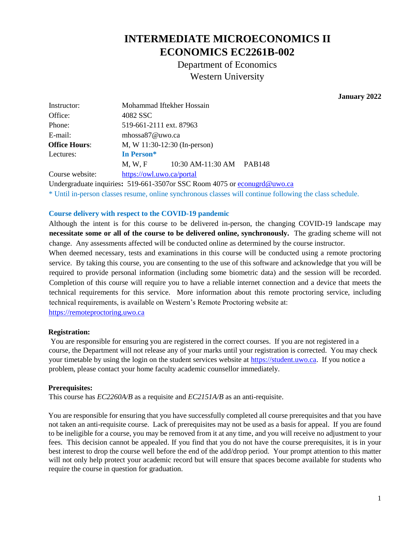# **INTERMEDIATE MICROECONOMICS II ECONOMICS EC2261B-002**

Department of Economics Western University

 **January 2022**

| Instructor:          | Mohammad Iftekher Hossain    |                          |  |
|----------------------|------------------------------|--------------------------|--|
| Office:              | 4082 SSC                     |                          |  |
| Phone:               | 519-661-2111 ext. 87963      |                          |  |
| E-mail:              | mhossa87@uwo.ca              |                          |  |
| <b>Office Hours:</b> | M, W 11:30-12:30 (In-person) |                          |  |
| Lectures:            | In Person*                   |                          |  |
|                      | M, W, F                      | 10:30 AM-11:30 AM PAB148 |  |
| Course website:      | https://owl.uwo.ca/portal    |                          |  |

Undergraduate inquiries**:** 519-661-3507or SSC Room 4075 o[r econugrd@uwo.ca](mailto:econugrd@uwo.ca) \* Until in-person classes resume, online synchronous classes will continue following the class schedule.

#### **Course delivery with respect to the COVID-19 pandemic**

Although the intent is for this course to be delivered in-person, the changing COVID-19 landscape may **necessitate some or all of the course to be delivered online, synchronously.** The grading scheme will not change. Any assessments affected will be conducted online as determined by the course instructor.

When deemed necessary, tests and examinations in this course will be conducted using a remote proctoring service. By taking this course, you are consenting to the use of this software and acknowledge that you will be required to provide personal information (including some biometric data) and the session will be recorded. Completion of this course will require you to have a reliable internet connection and a device that meets the technical requirements for this service. More information about this remote proctoring service, including technical requirements, is available on Western's Remote Proctoring website at:

[https://remoteproctoring.uwo.ca](https://remoteproctoring.uwo.ca/)

#### **Registration:**

You are responsible for ensuring you are registered in the correct courses. If you are not registered in a course, the Department will not release any of your marks until your registration is corrected. You may check your timetable by using the login on the student services website at [https://student.uwo.ca.](https://student.uwo.ca/) If you notice a problem, please contact your home faculty academic counsellor immediately.

#### **Prerequisites:**

This course has *EC2260A/B* as a requisite and *EC2151A/B* as an anti-requisite.

You are responsible for ensuring that you have successfully completed all course prerequisites and that you have not taken an anti-requisite course. Lack of prerequisites may not be used as a basis for appeal. If you are found to be ineligible for a course, you may be removed from it at any time, and you will receive no adjustment to your fees. This decision cannot be appealed. If you find that you do not have the course prerequisites, it is in your best interest to drop the course well before the end of the add/drop period. Your prompt attention to this matter will not only help protect your academic record but will ensure that spaces become available for students who require the course in question for graduation.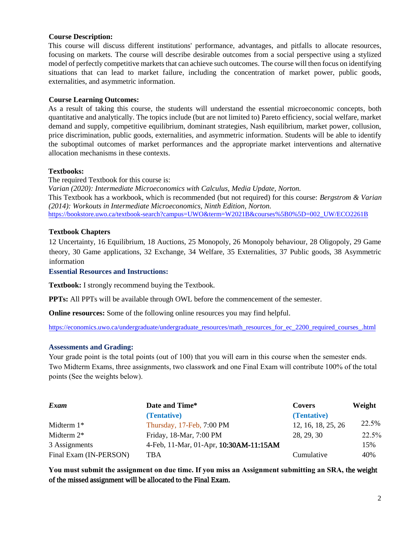#### **Course Description:**

This course will discuss different institutions' performance, advantages, and pitfalls to allocate resources, focusing on markets. The course will describe desirable outcomes from a social perspective using a stylized model of perfectly competitive markets that can achieve such outcomes. The course will then focus on identifying situations that can lead to market failure, including the concentration of market power, public goods, externalities, and asymmetric information.

#### **Course Learning Outcomes:**

As a result of taking this course, the students will understand the essential microeconomic concepts, both quantitative and analytically. The topics include (but are not limited to) Pareto efficiency, social welfare, market demand and supply, competitive equilibrium, dominant strategies, Nash equilibrium, market power, collusion, price discrimination, public goods, externalities, and asymmetric information. Students will be able to identify the suboptimal outcomes of market performances and the appropriate market interventions and alternative allocation mechanisms in these contexts.

#### **Textbooks:**

The required Textbook for this course is:

*Varian (2020): Intermediate Microeconomics with Calculus, Media Update, Norton.*  This Textbook has a workbook, which is recommended (but not required) for this course: *Bergstrom & Varian (2014): Workouts in Intermediate Microeconomics, Ninth Edition, Norton.* [https://bookstore.uwo.ca/textbook-search?campus=UWO&term=W2021B&courses%5B0%5D=002\\_UW/ECO2261B](https://bookstore.uwo.ca/textbook-search?campus=UWO&term=W2021B&courses%5B0%5D=002_UW/ECO2261B)

#### **Textbook Chapters**

12 Uncertainty, 16 Equilibrium, 18 Auctions, 25 Monopoly, 26 Monopoly behaviour, 28 Oligopoly, 29 Game theory, 30 Game applications, 32 Exchange, 34 Welfare, 35 Externalities, 37 Public goods, 38 Asymmetric information

**Essential Resources and Instructions:** 

**Textbook:** I strongly recommend buying the Textbook.

**PPTs:** All PPTs will be available through OWL before the commencement of the semester.

**Online resources:** Some of the following online resources you may find helpful.

https://economics.uwo.ca/undergraduate/undergraduate\_resources/math\_resources\_for\_ec\_2200\_required\_courses\_.html

#### **Assessments and Grading:**

Your grade point is the total points (out of 100) that you will earn in this course when the semester ends. Two Midterm Exams, three assignments, two classwork and one Final Exam will contribute 100% of the total points (See the weights below).

| Exam                   | Date and Time*                         | <b>Covers</b>      | Weight |
|------------------------|----------------------------------------|--------------------|--------|
|                        | (Tentative)                            | (Tentative)        |        |
| Midterm $1*$           | Thursday, 17-Feb, 7:00 PM              | 12, 16, 18, 25, 26 | 22.5%  |
| Midterm $2*$           | Friday, 18-Mar, 7:00 PM                | 28, 29, 30         | 22.5%  |
| 3 Assignments          | 4-Feb, 11-Mar, 01-Apr, 10:30AM-11:15AM |                    | 15%    |
| Final Exam (IN-PERSON) | TBA                                    | Cumulative         | 40%    |

**You must submit the assignment on due time. If you miss an Assignment submitting an SRA, t**he weight of the missed assignment will be allocated to the Final Exam.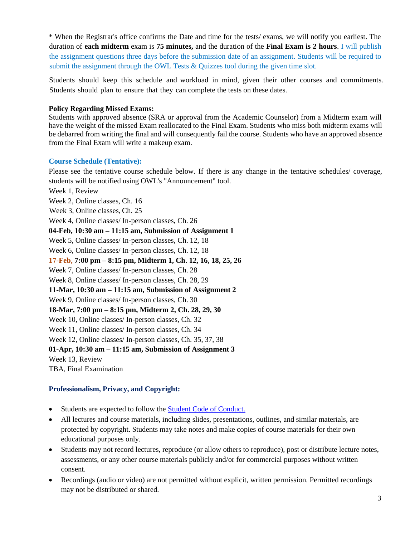\* When the Registrar's office confirms the Date and time for the tests/ exams, we will notify you earliest. The duration of **each midterm** exam is **75 minutes,** and the duration of the **Final Exam is 2 hours**. I will publish the assignment questions three days before the submission date of an assignment. Students will be required to submit the assignment through the OWL Tests & Quizzes tool during the given time slot.

Students should keep this schedule and workload in mind, given their other courses and commitments. Students should plan to ensure that they can complete the tests on these dates.

### **Policy Regarding Missed Exams:**

Students with approved absence (SRA or approval from the Academic Counselor) from a Midterm exam will have the weight of the missed Exam reallocated to the Final Exam. Students who miss both midterm exams will be debarred from writing the final and will consequently fail the course. Students who have an approved absence from the Final Exam will write a makeup exam.

#### **Course Schedule (Tentative):**

Please see the tentative course schedule below. If there is any change in the tentative schedules/ coverage, students will be notified using OWL's "Announcement" tool.

Week 1, Review Week 2, Online classes, Ch. 16 Week 3, Online classes, Ch. 25 Week 4, Online classes/ In-person classes, Ch. 26 **04-Feb, 10:30 am – 11:15 am, Submission of Assignment 1** Week 5, Online classes/ In-person classes, Ch. 12, 18 Week 6, Online classes/ In-person classes, Ch. 12, 18 **17-Feb, 7:00 pm – 8:15 pm, Midterm 1, Ch. 12, 16, 18, 25, 26** Week 7, Online classes/ In-person classes, Ch. 28 Week 8, Online classes/ In-person classes, Ch. 28, 29 **11-Mar, 10:30 am – 11:15 am, Submission of Assignment 2** Week 9, Online classes/ In-person classes, Ch. 30 **18-Mar, 7:00 pm – 8:15 pm, Midterm 2, Ch. 28, 29, 30** Week 10, Online classes/ In-person classes, Ch. 32 Week 11, Online classes/ In-person classes, Ch. 34 Week 12, Online classes/ In-person classes, Ch. 35, 37, 38 **01-Apr, 10:30 am – 11:15 am, Submission of Assignment 3** Week 13, Review TBA, Final Examination

## **Professionalism, Privacy, and Copyright:**

- Students are expected to follow the [Student Code of Conduct.](about:blank)
- All lectures and course materials, including slides, presentations, outlines, and similar materials, are protected by copyright. Students may take notes and make copies of course materials for their own educational purposes only.
- Students may not record lectures, reproduce (or allow others to reproduce), post or distribute lecture notes, assessments, or any other course materials publicly and/or for commercial purposes without written consent.
- Recordings (audio or video) are not permitted without explicit, written permission. Permitted recordings may not be distributed or shared.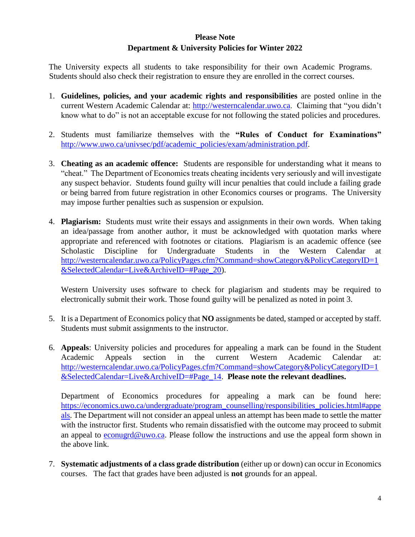## **Please Note Department & University Policies for Winter 2022**

The University expects all students to take responsibility for their own Academic Programs. Students should also check their registration to ensure they are enrolled in the correct courses.

- 1. **Guidelines, policies, and your academic rights and responsibilities** are posted online in the current Western Academic Calendar at: [http://westerncalendar.uwo.ca.](http://westerncalendar.uwo.ca/) Claiming that "you didn't know what to do" is not an acceptable excuse for not following the stated policies and procedures.
- 2. Students must familiarize themselves with the **"Rules of Conduct for Examinations"** [http://www.uwo.ca/univsec/pdf/academic\\_policies/exam/administration.pdf.](http://www.uwo.ca/univsec/pdf/academic_policies/exam/administration.pdf)
- 3. **Cheating as an academic offence:** Students are responsible for understanding what it means to "cheat." The Department of Economics treats cheating incidents very seriously and will investigate any suspect behavior. Students found guilty will incur penalties that could include a failing grade or being barred from future registration in other Economics courses or programs. The University may impose further penalties such as suspension or expulsion.
- 4. **Plagiarism:** Students must write their essays and assignments in their own words. When taking an idea/passage from another author, it must be acknowledged with quotation marks where appropriate and referenced with footnotes or citations. Plagiarism is an academic offence (see Scholastic Discipline for Undergraduate Students in the Western Calendar at [http://westerncalendar.uwo.ca/PolicyPages.cfm?Command=showCategory&PolicyCategoryID=1](http://westerncalendar.uwo.ca/PolicyPages.cfm?Command=showCategory&PolicyCategoryID=1&SelectedCalendar=Live&ArchiveID=#Page_20) [&SelectedCalendar=Live&ArchiveID=#Page\\_20\)](http://westerncalendar.uwo.ca/PolicyPages.cfm?Command=showCategory&PolicyCategoryID=1&SelectedCalendar=Live&ArchiveID=#Page_20).

Western University uses software to check for plagiarism and students may be required to electronically submit their work. Those found guilty will be penalized as noted in point 3.

- 5. It is a Department of Economics policy that **NO** assignments be dated, stamped or accepted by staff. Students must submit assignments to the instructor.
- 6. **Appeals**: University policies and procedures for appealing a mark can be found in the Student Academic Appeals section in the current Western Academic Calendar at: [http://westerncalendar.uwo.ca/PolicyPages.cfm?Command=showCategory&PolicyCategoryID=1](http://westerncalendar.uwo.ca/PolicyPages.cfm?Command=showCategory&PolicyCategoryID=1&SelectedCalendar=Live&ArchiveID=#Page_14) [&SelectedCalendar=Live&ArchiveID=#Page\\_14.](http://westerncalendar.uwo.ca/PolicyPages.cfm?Command=showCategory&PolicyCategoryID=1&SelectedCalendar=Live&ArchiveID=#Page_14) **Please note the relevant deadlines.**

Department of Economics procedures for appealing a mark can be found here: [https://economics.uwo.ca/undergraduate/program\\_counselling/responsibilities\\_policies.html#appe](https://economics.uwo.ca/undergraduate/program_counselling/responsibilities_policies.html#appeals) [als.](https://economics.uwo.ca/undergraduate/program_counselling/responsibilities_policies.html#appeals) The Department will not consider an appeal unless an attempt has been made to settle the matter with the instructor first. Students who remain dissatisfied with the outcome may proceed to submit an appeal to [econugrd@uwo.ca.](mailto:econugrd@uwo.ca) Please follow the instructions and use the appeal form shown in the above link.

7. **Systematic adjustments of a class grade distribution** (either up or down) can occur in Economics courses. The fact that grades have been adjusted is **not** grounds for an appeal.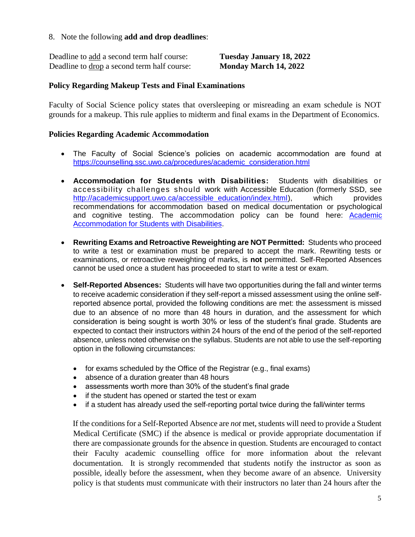## 8. Note the following **add and drop deadlines**:

| Deadline to add a second term half course:  | <b>Tuesday January 18, 2022</b> |
|---------------------------------------------|---------------------------------|
| Deadline to drop a second term half course: | Monday March 14, 2022           |

## **Policy Regarding Makeup Tests and Final Examinations**

Faculty of Social Science policy states that oversleeping or misreading an exam schedule is NOT grounds for a makeup. This rule applies to midterm and final exams in the Department of Economics.

## **Policies Regarding Academic Accommodation**

- The Faculty of Social Science's policies on academic accommodation are found at [https://counselling.ssc.uwo.ca/procedures/academic\\_consideration.html](https://counselling.ssc.uwo.ca/procedures/academic_consideration.html)
- **Accommodation for Students with Disabilities:** Students with disabilities or accessibility challenges should work with Accessible Education (formerly SSD, see [http://academicsupport.uwo.ca/accessible\\_education/index.html\)](http://academicsupport.uwo.ca/accessible_education/index.html), which provides recommendations for accommodation based on medical documentation or psychological and cognitive testing. The accommodation policy can be found here: **[Academic](https://www.uwo.ca/univsec/pdf/academic_policies/appeals/Academic%20Accommodation_disabilities.pdf)** [Accommodation for Students with Disabilities.](https://www.uwo.ca/univsec/pdf/academic_policies/appeals/Academic%20Accommodation_disabilities.pdf)
- **Rewriting Exams and Retroactive Reweighting are NOT Permitted:** Students who proceed to write a test or examination must be prepared to accept the mark. Rewriting tests or examinations, or retroactive reweighting of marks, is **not** permitted. Self-Reported Absences cannot be used once a student has proceeded to start to write a test or exam.
- **Self-Reported Absences:** Students will have two opportunities during the fall and winter terms to receive academic consideration if they self-report a missed assessment using the online selfreported absence portal, provided the following conditions are met: the assessment is missed due to an absence of no more than 48 hours in duration, and the assessment for which consideration is being sought is worth 30% or less of the student's final grade. Students are expected to contact their instructors within 24 hours of the end of the period of the self-reported absence, unless noted otherwise on the syllabus. Students are not able to use the self-reporting option in the following circumstances:
	- for exams scheduled by the Office of the Registrar (e.g., final exams)
	- absence of a duration greater than 48 hours
	- assessments worth more than 30% of the student's final grade
	- if the student has opened or started the test or exam
	- if a student has already used the self-reporting portal twice during the fall/winter terms

If the conditions for a Self-Reported Absence are *not* met, students will need to provide a Student Medical Certificate (SMC) if the absence is medical or provide appropriate documentation if there are compassionate grounds for the absence in question. Students are encouraged to contact their Faculty academic counselling office for more information about the relevant documentation. It is strongly recommended that students notify the instructor as soon as possible, ideally before the assessment, when they become aware of an absence. University policy is that students must communicate with their instructors no later than 24 hours after the